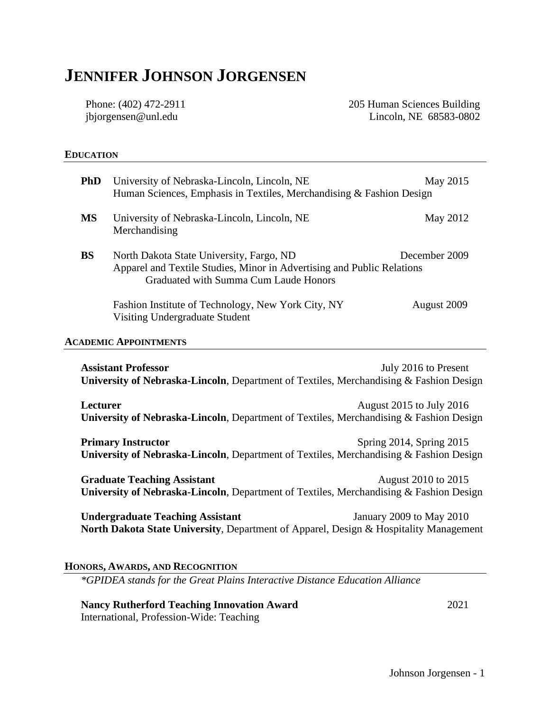# **JENNIFER JOHNSON JORGENSEN**

Phone: (402) 472-2911 jbjorgensen@unl.edu

205 Human Sciences Building Lincoln, NE 68583-0802

#### **EDUCATION**

| <b>PhD</b>                                                                                                                                   | University of Nebraska-Lincoln, Lincoln, NE<br>Human Sciences, Emphasis in Textiles, Merchandising & Fashion Design                                                          | May 2015    |
|----------------------------------------------------------------------------------------------------------------------------------------------|------------------------------------------------------------------------------------------------------------------------------------------------------------------------------|-------------|
| <b>MS</b>                                                                                                                                    | University of Nebraska-Lincoln, Lincoln, NE<br>Merchandising                                                                                                                 | May 2012    |
| <b>BS</b>                                                                                                                                    | December 2009<br>North Dakota State University, Fargo, ND<br>Apparel and Textile Studies, Minor in Advertising and Public Relations<br>Graduated with Summa Cum Laude Honors |             |
|                                                                                                                                              | Fashion Institute of Technology, New York City, NY<br>Visiting Undergraduate Student                                                                                         | August 2009 |
|                                                                                                                                              | <b>ACADEMIC APPOINTMENTS</b>                                                                                                                                                 |             |
| <b>Assistant Professor</b><br>July 2016 to Present<br>University of Nebraska-Lincoln, Department of Textiles, Merchandising & Fashion Design |                                                                                                                                                                              |             |
| <b>Lecturer</b><br>August 2015 to July 2016<br>University of Nebraska-Lincoln, Department of Textiles, Merchandising & Fashion Design        |                                                                                                                                                                              |             |

**Primary Instructor** Spring 2014, Spring 2015 **University of Nebraska-Lincoln**, Department of Textiles, Merchandising & Fashion Design

Graduate Teaching Assistant **August 2010** to 2015 **University of Nebraska-Lincoln**, Department of Textiles, Merchandising & Fashion Design

**Undergraduate Teaching Assistant** January 2009 to May 2010 **North Dakota State University**, Department of Apparel, Design & Hospitality Management

#### **HONORS, AWARDS, AND RECOGNITION**

*\*GPIDEA stands for the Great Plains Interactive Distance Education Alliance*

## **Nancy Rutherford Teaching Innovation Award** 2021 International, Profession-Wide: Teaching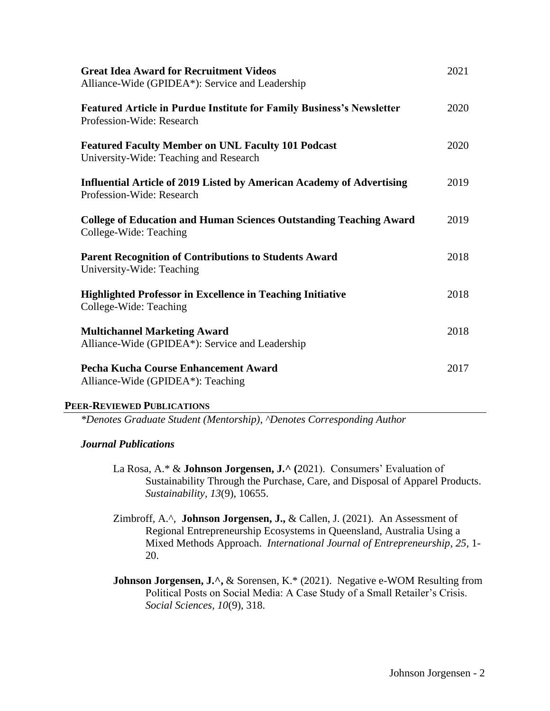| <b>Great Idea Award for Recruitment Videos</b><br>Alliance-Wide (GPIDEA*): Service and Leadership         | 2021 |
|-----------------------------------------------------------------------------------------------------------|------|
| <b>Featured Article in Purdue Institute for Family Business's Newsletter</b><br>Profession-Wide: Research | 2020 |
| <b>Featured Faculty Member on UNL Faculty 101 Podcast</b><br>University-Wide: Teaching and Research       | 2020 |
| Influential Article of 2019 Listed by American Academy of Advertising<br>Profession-Wide: Research        | 2019 |
| <b>College of Education and Human Sciences Outstanding Teaching Award</b><br>College-Wide: Teaching       | 2019 |
| <b>Parent Recognition of Contributions to Students Award</b><br>University-Wide: Teaching                 | 2018 |
| <b>Highlighted Professor in Excellence in Teaching Initiative</b><br>College-Wide: Teaching               | 2018 |
| <b>Multichannel Marketing Award</b><br>Alliance-Wide (GPIDEA*): Service and Leadership                    | 2018 |
| Pecha Kucha Course Enhancement Award<br>Alliance-Wide (GPIDEA*): Teaching                                 | 2017 |

#### **PEER-REVIEWED PUBLICATIONS**

*\*Denotes Graduate Student (Mentorship), ^Denotes Corresponding Author*

# *Journal Publications*

- La Rosa, A.\* & **Johnson Jorgensen, J.^ (**2021). Consumers' Evaluation of Sustainability Through the Purchase, Care, and Disposal of Apparel Products. *Sustainability, 13*(9), 10655.
- Zimbroff, A.^, **Johnson Jorgensen, J.,** & Callen, J. (2021). An Assessment of Regional Entrepreneurship Ecosystems in Queensland, Australia Using a Mixed Methods Approach. *International Journal of Entrepreneurship, 25,* 1- 20.
- **Johnson Jorgensen, J.^, & Sorensen, K.\* (2021). Negative e-WOM Resulting from** Political Posts on Social Media: A Case Study of a Small Retailer's Crisis. *Social Sciences, 10*(9), 318.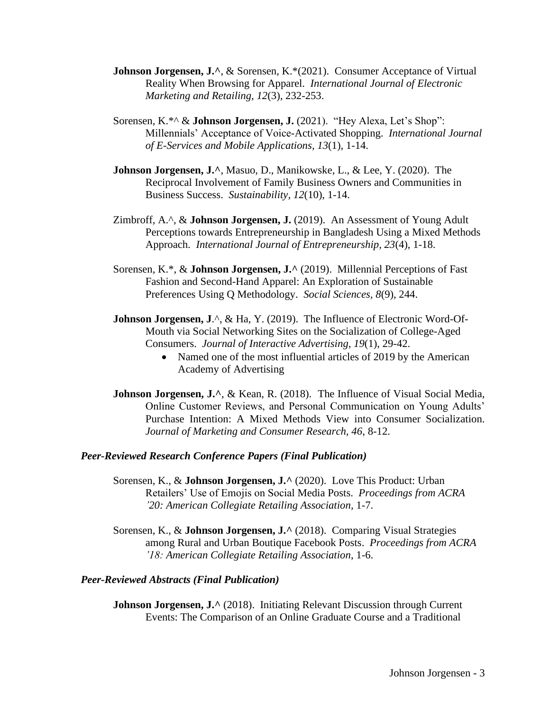- **Johnson Jorgensen, J.^, & Sorensen, K.\*(2021). Consumer Acceptance of Virtual** Reality When Browsing for Apparel. *International Journal of Electronic Marketing and Retailing, 12*(3), 232-253.
- Sorensen, K.\*^ & **Johnson Jorgensen, J.** (2021). "Hey Alexa, Let's Shop": Millennials' Acceptance of Voice-Activated Shopping. *International Journal of E-Services and Mobile Applications, 13*(1), 1-14.
- **Johnson Jorgensen, J.^**, Masuo, D., Manikowske, L., & Lee, Y. (2020). The Reciprocal Involvement of Family Business Owners and Communities in Business Success. *Sustainability, 12*(10), 1-14.
- Zimbroff, A.^, & **Johnson Jorgensen, J.** (2019). An Assessment of Young Adult Perceptions towards Entrepreneurship in Bangladesh Using a Mixed Methods Approach. *International Journal of Entrepreneurship, 23*(4), 1-18.
- Sorensen, K.\*, & **Johnson Jorgensen, J.^** (2019). Millennial Perceptions of Fast Fashion and Second-Hand Apparel: An Exploration of Sustainable Preferences Using Q Methodology. *Social Sciences, 8*(9), 244.
- **Johnson Jorgensen, J.^, & Ha, Y. (2019). The Influence of Electronic Word-Of-**Mouth via Social Networking Sites on the Socialization of College-Aged Consumers. *Journal of Interactive Advertising, 19*(1), 29-42.
	- Named one of the most influential articles of 2019 by the American Academy of Advertising
- **Johnson Jorgensen, J.**<sup>^</sup>, & Kean, R. (2018). The Influence of Visual Social Media, Online Customer Reviews, and Personal Communication on Young Adults' Purchase Intention: A Mixed Methods View into Consumer Socialization. *Journal of Marketing and Consumer Research, 46*, 8-12.

#### *Peer-Reviewed Research Conference Papers (Final Publication)*

- Sorensen, K., & **Johnson Jorgensen, J.^** (2020). Love This Product: Urban Retailers' Use of Emojis on Social Media Posts. *Proceedings from ACRA '20: American Collegiate Retailing Association,* 1-7.
- Sorensen, K., & **Johnson Jorgensen, J.^** (2018). Comparing Visual Strategies among Rural and Urban Boutique Facebook Posts. *Proceedings from ACRA '18: American Collegiate Retailing Association*, 1-6.

## *Peer-Reviewed Abstracts (Final Publication)*

**Johnson Jorgensen, J.^** (2018). Initiating Relevant Discussion through Current Events: The Comparison of an Online Graduate Course and a Traditional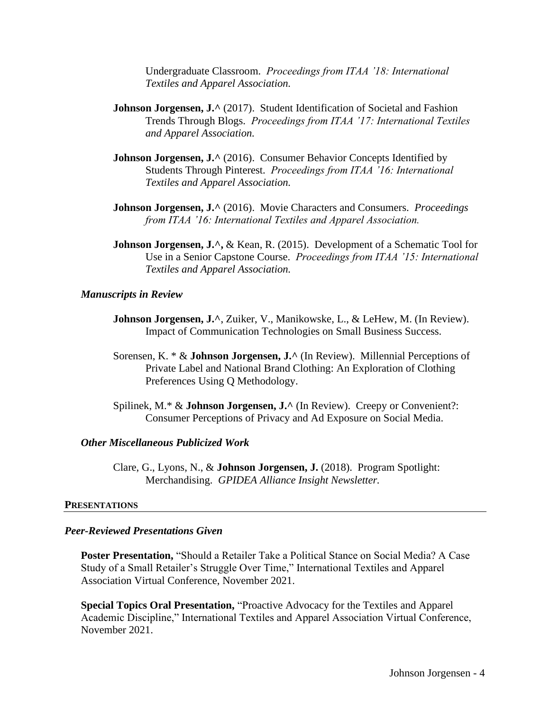Undergraduate Classroom. *Proceedings from ITAA '18: International Textiles and Apparel Association.*

- **Johnson Jorgensen, J.** ^ (2017). Student Identification of Societal and Fashion Trends Through Blogs. *Proceedings from ITAA '17: International Textiles and Apparel Association.*
- **Johnson Jorgensen, J.**  $\land$  (2016). Consumer Behavior Concepts Identified by Students Through Pinterest. *Proceedings from ITAA '16: International Textiles and Apparel Association.*
- **Johnson Jorgensen, J.^** (2016). Movie Characters and Consumers. *Proceedings from ITAA '16: International Textiles and Apparel Association.*
- **Johnson Jorgensen, J.^, & Kean, R. (2015). Development of a Schematic Tool for** Use in a Senior Capstone Course. *Proceedings from ITAA '15: International Textiles and Apparel Association.*

#### *Manuscripts in Review*

- **Johnson Jorgensen, J.**<sup>^</sup>, Zuiker, V., Manikowske, L., & LeHew, M. (In Review). Impact of Communication Technologies on Small Business Success.
- Sorensen, K. \* & **Johnson Jorgensen, J.^** (In Review). Millennial Perceptions of Private Label and National Brand Clothing: An Exploration of Clothing Preferences Using Q Methodology.
- Spilinek, M.\* & **Johnson Jorgensen, J.^** (In Review). Creepy or Convenient?: Consumer Perceptions of Privacy and Ad Exposure on Social Media.

#### *Other Miscellaneous Publicized Work*

Clare, G., Lyons, N., & **Johnson Jorgensen, J.** (2018). Program Spotlight: Merchandising. *GPIDEA Alliance Insight Newsletter.*

#### **PRESENTATIONS**

### *Peer-Reviewed Presentations Given*

**Poster Presentation,** "Should a Retailer Take a Political Stance on Social Media? A Case Study of a Small Retailer's Struggle Over Time," International Textiles and Apparel Association Virtual Conference, November 2021.

**Special Topics Oral Presentation,** "Proactive Advocacy for the Textiles and Apparel Academic Discipline," International Textiles and Apparel Association Virtual Conference, November 2021.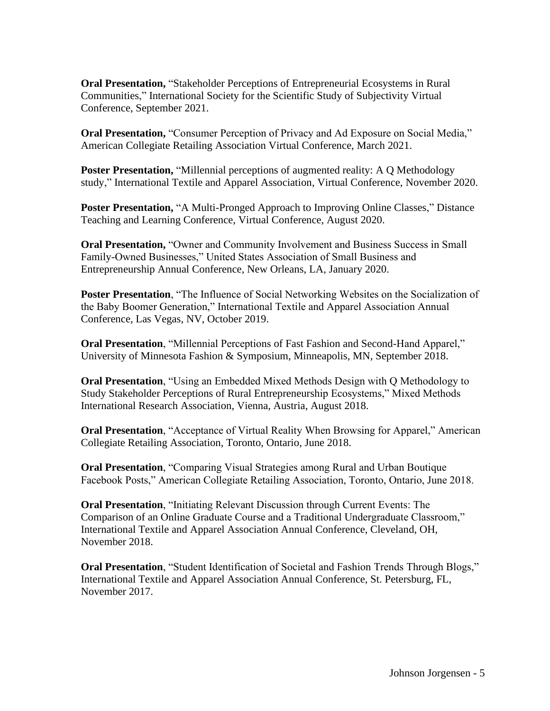**Oral Presentation, "Stakeholder Perceptions of Entrepreneurial Ecosystems in Rural** Communities," International Society for the Scientific Study of Subjectivity Virtual Conference, September 2021.

**Oral Presentation, "Consumer Perception of Privacy and Ad Exposure on Social Media,"** American Collegiate Retailing Association Virtual Conference, March 2021.

**Poster Presentation, "Millennial perceptions of augmented reality: A Q Methodology** study," International Textile and Apparel Association, Virtual Conference, November 2020.

**Poster Presentation, "A Multi-Pronged Approach to Improving Online Classes," Distance** Teaching and Learning Conference, Virtual Conference, August 2020.

**Oral Presentation,** "Owner and Community Involvement and Business Success in Small Family-Owned Businesses," United States Association of Small Business and Entrepreneurship Annual Conference, New Orleans, LA, January 2020.

**Poster Presentation**, "The Influence of Social Networking Websites on the Socialization of the Baby Boomer Generation," International Textile and Apparel Association Annual Conference, Las Vegas, NV, October 2019.

**Oral Presentation**, "Millennial Perceptions of Fast Fashion and Second-Hand Apparel," University of Minnesota Fashion & Symposium, Minneapolis, MN, September 2018.

**Oral Presentation**, "Using an Embedded Mixed Methods Design with Q Methodology to Study Stakeholder Perceptions of Rural Entrepreneurship Ecosystems," Mixed Methods International Research Association, Vienna, Austria, August 2018.

**Oral Presentation, "Acceptance of Virtual Reality When Browsing for Apparel," American** Collegiate Retailing Association, Toronto, Ontario, June 2018.

**Oral Presentation**, "Comparing Visual Strategies among Rural and Urban Boutique Facebook Posts," American Collegiate Retailing Association, Toronto, Ontario, June 2018.

**Oral Presentation**, "Initiating Relevant Discussion through Current Events: The Comparison of an Online Graduate Course and a Traditional Undergraduate Classroom," International Textile and Apparel Association Annual Conference, Cleveland, OH, November 2018.

**Oral Presentation**, "Student Identification of Societal and Fashion Trends Through Blogs," International Textile and Apparel Association Annual Conference, St. Petersburg, FL, November 2017.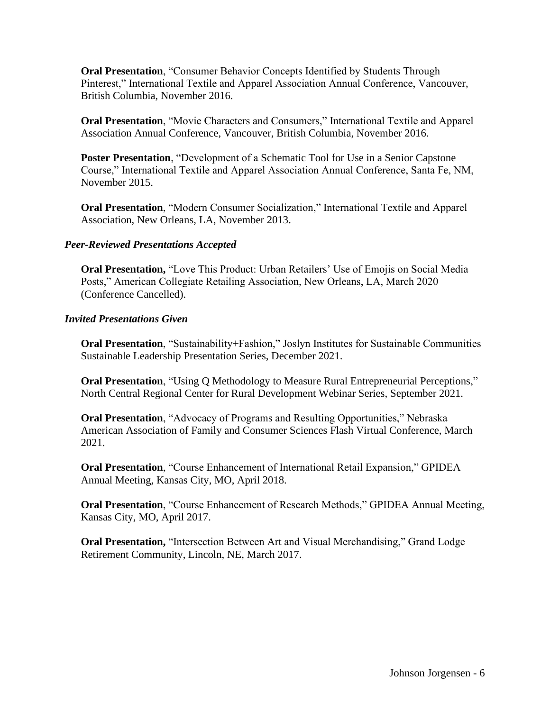**Oral Presentation**, "Consumer Behavior Concepts Identified by Students Through Pinterest," International Textile and Apparel Association Annual Conference, Vancouver, British Columbia, November 2016.

**Oral Presentation**, "Movie Characters and Consumers," International Textile and Apparel Association Annual Conference, Vancouver, British Columbia, November 2016.

**Poster Presentation**, "Development of a Schematic Tool for Use in a Senior Capstone Course," International Textile and Apparel Association Annual Conference, Santa Fe, NM, November 2015.

**Oral Presentation**, "Modern Consumer Socialization," International Textile and Apparel Association, New Orleans, LA, November 2013.

# *Peer-Reviewed Presentations Accepted*

**Oral Presentation,** "Love This Product: Urban Retailers' Use of Emojis on Social Media Posts," American Collegiate Retailing Association, New Orleans, LA, March 2020 (Conference Cancelled).

## *Invited Presentations Given*

**Oral Presentation**, "Sustainability+Fashion," Joslyn Institutes for Sustainable Communities Sustainable Leadership Presentation Series, December 2021.

**Oral Presentation, "Using Q Methodology to Measure Rural Entrepreneurial Perceptions,"** North Central Regional Center for Rural Development Webinar Series, September 2021.

**Oral Presentation**, "Advocacy of Programs and Resulting Opportunities," Nebraska American Association of Family and Consumer Sciences Flash Virtual Conference, March 2021.

**Oral Presentation**, "Course Enhancement of International Retail Expansion," GPIDEA Annual Meeting, Kansas City, MO, April 2018.

**Oral Presentation**, "Course Enhancement of Research Methods," GPIDEA Annual Meeting, Kansas City, MO, April 2017.

**Oral Presentation,** "Intersection Between Art and Visual Merchandising," Grand Lodge Retirement Community, Lincoln, NE, March 2017.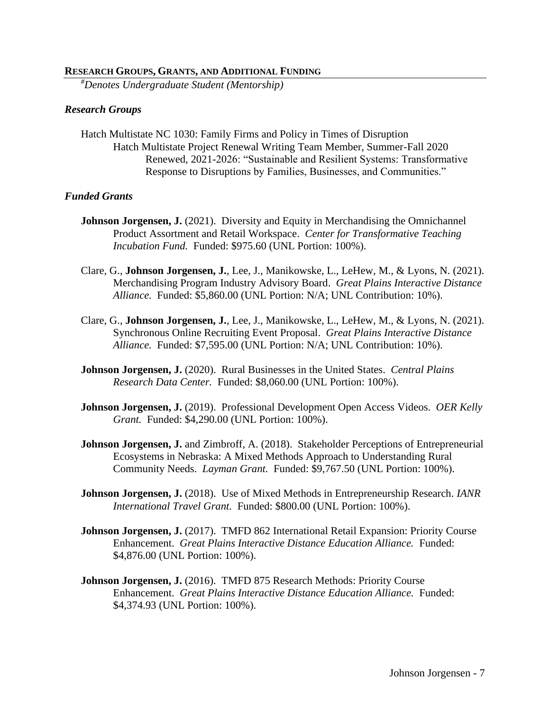#### **RESEARCH GROUPS, GRANTS, AND ADDITIONAL FUNDING**

*#Denotes Undergraduate Student (Mentorship)*

#### *Research Groups*

Hatch Multistate NC 1030: Family Firms and Policy in Times of Disruption Hatch Multistate Project Renewal Writing Team Member, Summer-Fall 2020 Renewed, 2021-2026: "Sustainable and Resilient Systems: Transformative Response to Disruptions by Families, Businesses, and Communities."

## *Funded Grants*

- **Johnson Jorgensen, J.** (2021). Diversity and Equity in Merchandising the Omnichannel Product Assortment and Retail Workspace. *Center for Transformative Teaching Incubation Fund.* Funded: \$975.60 (UNL Portion: 100%).
- Clare, G., **Johnson Jorgensen, J.**, Lee, J., Manikowske, L., LeHew, M., & Lyons, N. (2021). Merchandising Program Industry Advisory Board. *Great Plains Interactive Distance Alliance.* Funded: \$5,860.00 (UNL Portion: N/A; UNL Contribution: 10%).
- Clare, G., **Johnson Jorgensen, J.**, Lee, J., Manikowske, L., LeHew, M., & Lyons, N. (2021). Synchronous Online Recruiting Event Proposal. *Great Plains Interactive Distance Alliance.* Funded: \$7,595.00 (UNL Portion: N/A; UNL Contribution: 10%).
- **Johnson Jorgensen, J.** (2020). Rural Businesses in the United States. *Central Plains Research Data Center.* Funded: \$8,060.00 (UNL Portion: 100%).
- **Johnson Jorgensen, J.** (2019). Professional Development Open Access Videos. *OER Kelly Grant.* Funded: \$4,290.00 (UNL Portion: 100%).
- **Johnson Jorgensen, J.** and Zimbroff, A. (2018). Stakeholder Perceptions of Entrepreneurial Ecosystems in Nebraska: A Mixed Methods Approach to Understanding Rural Community Needs. *Layman Grant.* Funded: \$9,767.50 (UNL Portion: 100%).
- **Johnson Jorgensen, J.** (2018). Use of Mixed Methods in Entrepreneurship Research. *IANR International Travel Grant.* Funded: \$800.00 (UNL Portion: 100%).
- **Johnson Jorgensen, J.** (2017). TMFD 862 International Retail Expansion: Priority Course Enhancement. *Great Plains Interactive Distance Education Alliance.* Funded: \$4,876.00 (UNL Portion: 100%).
- **Johnson Jorgensen, J.** (2016). TMFD 875 Research Methods: Priority Course Enhancement. *Great Plains Interactive Distance Education Alliance.* Funded: \$4,374.93 (UNL Portion: 100%).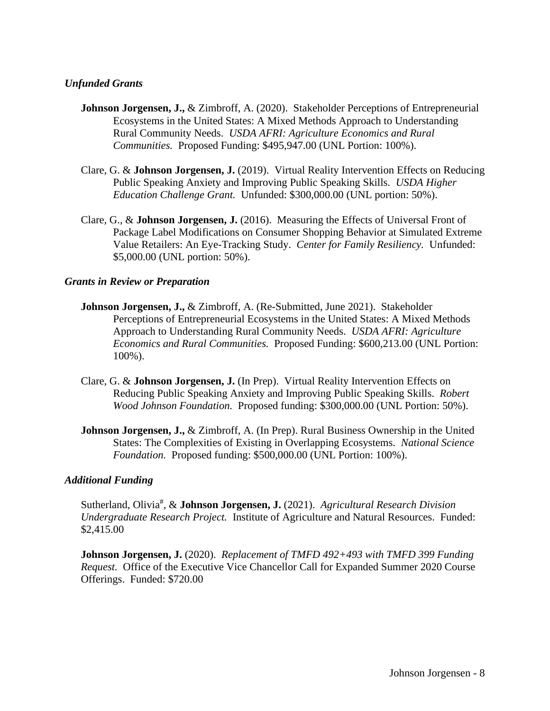# *Unfunded Grants*

- **Johnson Jorgensen, J., & Zimbroff, A. (2020). Stakeholder Perceptions of Entrepreneurial** Ecosystems in the United States: A Mixed Methods Approach to Understanding Rural Community Needs. *USDA AFRI: Agriculture Economics and Rural Communities.* Proposed Funding: \$495,947.00 (UNL Portion: 100%).
- Clare, G. & **Johnson Jorgensen, J.** (2019). Virtual Reality Intervention Effects on Reducing Public Speaking Anxiety and Improving Public Speaking Skills. *USDA Higher Education Challenge Grant.* Unfunded: \$300,000.00 (UNL portion: 50%).
- Clare, G., & **Johnson Jorgensen, J.** (2016). Measuring the Effects of Universal Front of Package Label Modifications on Consumer Shopping Behavior at Simulated Extreme Value Retailers: An Eye-Tracking Study. *Center for Family Resiliency.* Unfunded: \$5,000.00 (UNL portion: 50%).

## *Grants in Review or Preparation*

- **Johnson Jorgensen, J.,** & Zimbroff, A. (Re-Submitted, June 2021). Stakeholder Perceptions of Entrepreneurial Ecosystems in the United States: A Mixed Methods Approach to Understanding Rural Community Needs. *USDA AFRI: Agriculture Economics and Rural Communities.* Proposed Funding: \$600,213.00 (UNL Portion: 100%).
- Clare, G. & **Johnson Jorgensen, J.** (In Prep). Virtual Reality Intervention Effects on Reducing Public Speaking Anxiety and Improving Public Speaking Skills. *Robert Wood Johnson Foundation.* Proposed funding: \$300,000.00 (UNL Portion: 50%).
- **Johnson Jorgensen, J., & Zimbroff, A. (In Prep). Rural Business Ownership in the United** States: The Complexities of Existing in Overlapping Ecosystems. *National Science Foundation.* Proposed funding: \$500,000.00 (UNL Portion: 100%).

## *Additional Funding*

Sutherland, Olivia<sup>#</sup>, & **Johnson Jorgensen, J.** (2021). *Agricultural Research Division Undergraduate Research Project.* Institute of Agriculture and Natural Resources. Funded: \$2,415.00

**Johnson Jorgensen, J.** (2020). *Replacement of TMFD 492+493 with TMFD 399 Funding Request.* Office of the Executive Vice Chancellor Call for Expanded Summer 2020 Course Offerings. Funded: \$720.00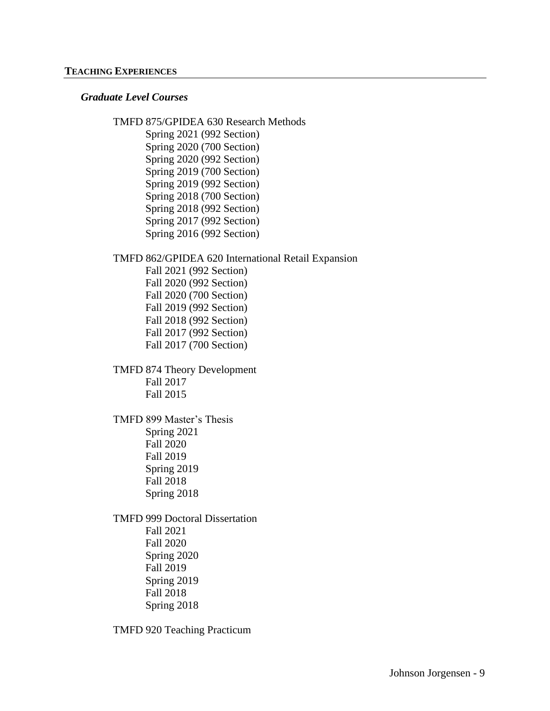#### **TEACHING EXPERIENCES**

#### *Graduate Level Courses*

TMFD 875/GPIDEA 630 Research Methods Spring 2021 (992 Section) Spring 2020 (700 Section) Spring 2020 (992 Section) Spring 2019 (700 Section) Spring 2019 (992 Section) Spring 2018 (700 Section) Spring 2018 (992 Section) Spring 2017 (992 Section) Spring 2016 (992 Section) TMFD 862/GPIDEA 620 International Retail Expansion Fall 2021 (992 Section) Fall 2020 (992 Section) Fall 2020 (700 Section) Fall 2019 (992 Section) Fall 2018 (992 Section) Fall 2017 (992 Section) Fall 2017 (700 Section) TMFD 874 Theory Development Fall 2017 Fall 2015 TMFD 899 Master's Thesis Spring 2021 Fall 2020 Fall 2019 Spring 2019 Fall 2018 Spring 2018

TMFD 999 Doctoral Dissertation Fall 2021 Fall 2020 Spring 2020 Fall 2019 Spring 2019 Fall 2018 Spring 2018

TMFD 920 Teaching Practicum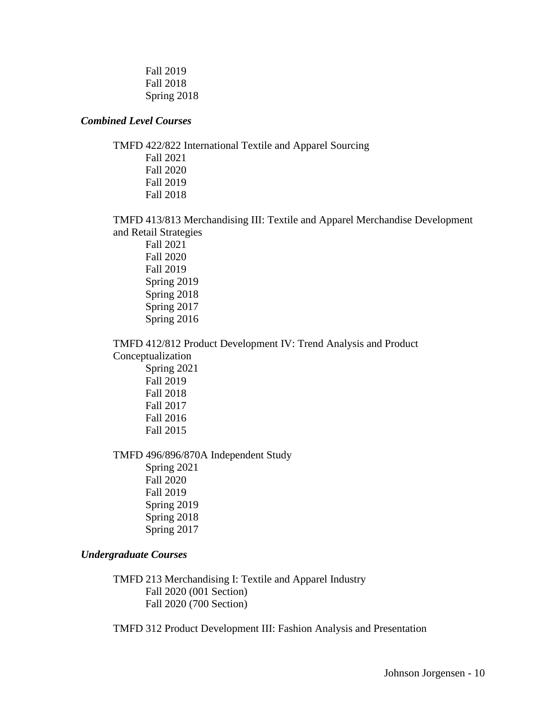Fall 2019 Fall 2018 Spring 2018

## *Combined Level Courses*

TMFD 422/822 International Textile and Apparel Sourcing Fall 2021 Fall 2020 Fall 2019 Fall 2018

TMFD 413/813 Merchandising III: Textile and Apparel Merchandise Development and Retail Strategies

Fall 2021 Fall 2020 Fall 2019 Spring 2019 Spring 2018 Spring 2017 Spring 2016

TMFD 412/812 Product Development IV: Trend Analysis and Product Conceptualization

> Spring 2021 Fall 2019 Fall 2018 Fall 2017 Fall 2016 Fall 2015

TMFD 496/896/870A Independent Study

Spring 2021 Fall 2020 Fall 2019 Spring 2019 Spring 2018 Spring 2017

# *Undergraduate Courses*

TMFD 213 Merchandising I: Textile and Apparel Industry Fall 2020 (001 Section) Fall 2020 (700 Section)

TMFD 312 Product Development III: Fashion Analysis and Presentation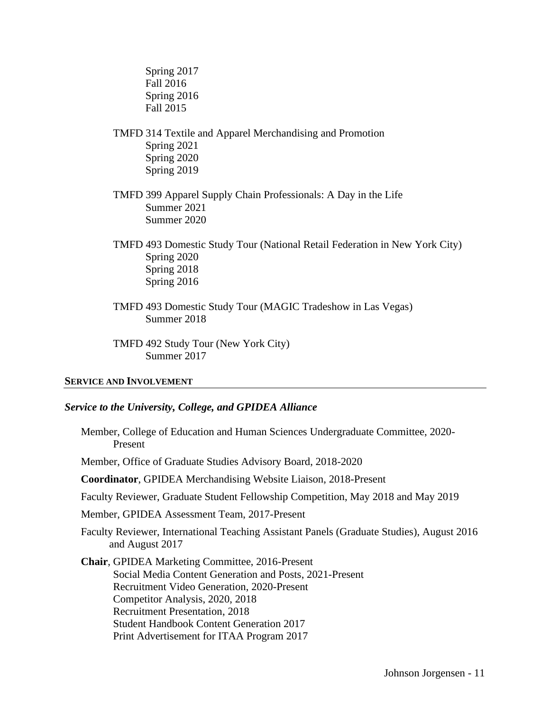Spring 2017 Fall 2016 Spring 2016 Fall 2015

- TMFD 314 Textile and Apparel Merchandising and Promotion Spring 2021 Spring 2020 Spring 2019
- TMFD 399 Apparel Supply Chain Professionals: A Day in the Life Summer 2021 Summer 2020
- TMFD 493 Domestic Study Tour (National Retail Federation in New York City) Spring 2020 Spring 2018 Spring 2016
- TMFD 493 Domestic Study Tour (MAGIC Tradeshow in Las Vegas) Summer 2018

TMFD 492 Study Tour (New York City) Summer 2017

#### **SERVICE AND INVOLVEMENT**

### *Service to the University, College, and GPIDEA Alliance*

Member, College of Education and Human Sciences Undergraduate Committee, 2020- Present

Member, Office of Graduate Studies Advisory Board, 2018-2020

- **Coordinator**, GPIDEA Merchandising Website Liaison, 2018-Present
- Faculty Reviewer, Graduate Student Fellowship Competition, May 2018 and May 2019

Member, GPIDEA Assessment Team, 2017-Present

Faculty Reviewer, International Teaching Assistant Panels (Graduate Studies), August 2016 and August 2017

**Chair**, GPIDEA Marketing Committee, 2016-Present Social Media Content Generation and Posts, 2021-Present Recruitment Video Generation, 2020-Present Competitor Analysis, 2020, 2018 Recruitment Presentation, 2018 Student Handbook Content Generation 2017 Print Advertisement for ITAA Program 2017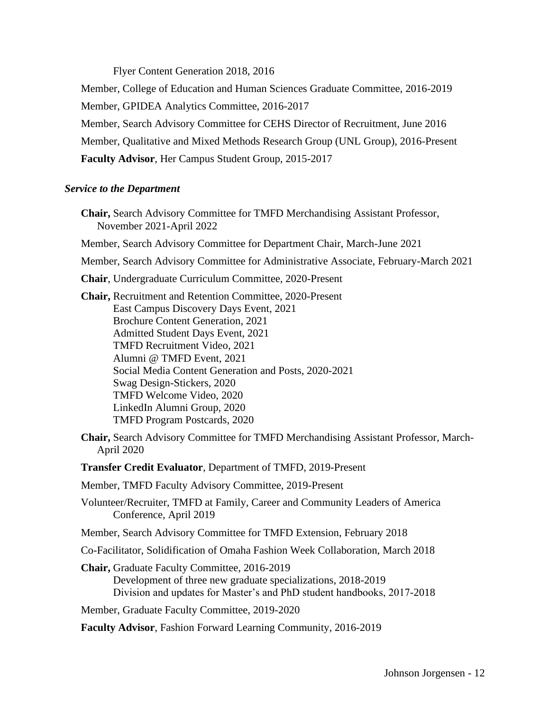Flyer Content Generation 2018, 2016

Member, College of Education and Human Sciences Graduate Committee, 2016-2019 Member, GPIDEA Analytics Committee, 2016-2017 Member, Search Advisory Committee for CEHS Director of Recruitment, June 2016 Member, Qualitative and Mixed Methods Research Group (UNL Group), 2016-Present **Faculty Advisor**, Her Campus Student Group, 2015-2017

#### *Service to the Department*

- **Chair,** Search Advisory Committee for TMFD Merchandising Assistant Professor, November 2021-April 2022
- Member, Search Advisory Committee for Department Chair, March-June 2021

Member, Search Advisory Committee for Administrative Associate, February-March 2021

**Chair**, Undergraduate Curriculum Committee, 2020-Present

**Chair,** Recruitment and Retention Committee, 2020-Present East Campus Discovery Days Event, 2021 Brochure Content Generation, 2021 Admitted Student Days Event, 2021 TMFD Recruitment Video, 2021 Alumni @ TMFD Event, 2021 Social Media Content Generation and Posts, 2020-2021 Swag Design-Stickers, 2020 TMFD Welcome Video, 2020 LinkedIn Alumni Group, 2020 TMFD Program Postcards, 2020

- **Chair,** Search Advisory Committee for TMFD Merchandising Assistant Professor, March-April 2020
- **Transfer Credit Evaluator**, Department of TMFD, 2019-Present

Member, TMFD Faculty Advisory Committee, 2019-Present

- Volunteer/Recruiter, TMFD at Family, Career and Community Leaders of America Conference, April 2019
- Member, Search Advisory Committee for TMFD Extension, February 2018

Co-Facilitator, Solidification of Omaha Fashion Week Collaboration, March 2018

**Chair,** Graduate Faculty Committee, 2016-2019 Development of three new graduate specializations, 2018-2019 Division and updates for Master's and PhD student handbooks, 2017-2018

Member, Graduate Faculty Committee, 2019-2020

**Faculty Advisor**, Fashion Forward Learning Community, 2016-2019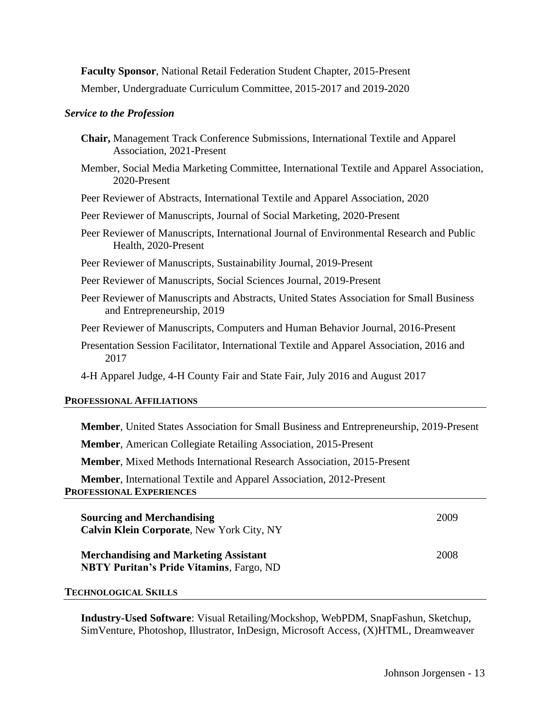**Faculty Sponsor**, National Retail Federation Student Chapter, 2015-Present

Member, Undergraduate Curriculum Committee, 2015-2017 and 2019-2020

# *Service to the Profession*

| Chair, Management Track Conference Submissions, International Textile and Apparel<br>Association, 2021-Present         |
|------------------------------------------------------------------------------------------------------------------------|
| Member, Social Media Marketing Committee, International Textile and Apparel Association,<br>2020-Present               |
| Peer Reviewer of Abstracts, International Textile and Apparel Association, 2020                                        |
| Peer Reviewer of Manuscripts, Journal of Social Marketing, 2020-Present                                                |
| Peer Reviewer of Manuscripts, International Journal of Environmental Research and Public<br>Health, 2020-Present       |
| Peer Reviewer of Manuscripts, Sustainability Journal, 2019-Present                                                     |
| Peer Reviewer of Manuscripts, Social Sciences Journal, 2019-Present                                                    |
| Peer Reviewer of Manuscripts and Abstracts, United States Association for Small Business<br>and Entrepreneurship, 2019 |
| Peer Reviewer of Manuscripts, Computers and Human Behavior Journal, 2016-Present                                       |
| Presentation Session Facilitator, International Textile and Apparel Association, 2016 and<br>2017                      |
| 4-H Apparel Judge, 4-H County Fair and State Fair, July 2016 and August 2017                                           |
| PROFESSIONAL AFFILIATIONS                                                                                              |
| Member, United States Association for Small Business and Entrepreneurship, 2019-Present                                |

**Member**, American Collegiate Retailing Association, 2015-Present

**Member**, Mixed Methods International Research Association, 2015-Present

**Member**, International Textile and Apparel Association, 2012-Present **PROFESSIONAL EXPERIENCES**

| <b>Sourcing and Merchandising</b><br>Calvin Klein Corporate, New York City, NY                  | 2009 |
|-------------------------------------------------------------------------------------------------|------|
| <b>Merchandising and Marketing Assistant</b><br><b>NBTY Puritan's Pride Vitamins, Fargo, ND</b> | 2008 |
| <b>TECHNOLOGICAL SKILLS</b>                                                                     |      |

**Industry-Used Software**: Visual Retailing/Mockshop, WebPDM, SnapFashun, Sketchup, SimVenture, Photoshop, Illustrator, InDesign, Microsoft Access, (X)HTML, Dreamweaver